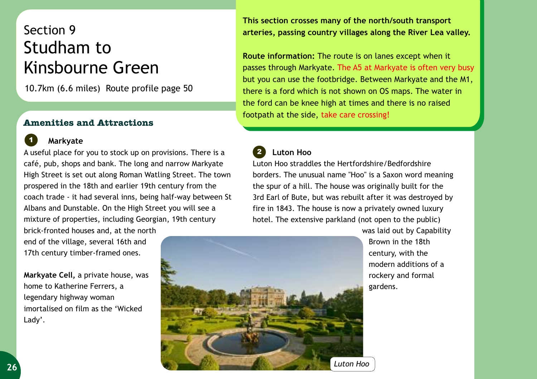## Section 9 Studham to Kinsbourne Green

10.7km (6.6 miles) Route profile page 50

## **Amenities and Attractions**

## **Markyate**

*1*

A useful place for you to stock up on provisions. There is a café, pub, shops and bank. The long and narrow Markyate High Street is set out along Roman Watling Street. The town prospered in the 18th and earlier 19th century from the coach trade - it had several inns, being half-way between St Albans and Dunstable. On the High Street you will see a mixture of properties, including Georgian, 19th century

brick-fronted houses and, at the north end of the village, several 16th and 17th century timber-framed ones.

**Markyate Cell,** a private house, was home to Katherine Ferrers, a legendary highway woman imortalised on film as the 'Wicked Lady'.

**This section crosses many of the north/south transport arteries, passing country villages along the River Lea valley.** 

**Route information:** The route is on lanes except when it passes through Markyate. The A5 at Markyate is often very busy but you can use the footbridge. Between Markyate and the M1, there is a ford which is not shown on OS maps. The water in the ford can be knee high at times and there is no raised footpath at the side, take care crossing!

## *2*  **Luton Hoo**

Luton Hoo straddles the Hertfordshire/Bedfordshire borders. The unusual name "Hoo" is a Saxon word meaning the spur of a hill. The house was originally built for the 3rd Earl of Bute, but was rebuilt after it was destroyed by fire in 1843. The house is now a privately owned luxury hotel. The extensive parkland (not open to the public)



was laid out by Capability Brown in the 18th century, with the modern additions of a rockery and formal gardens.